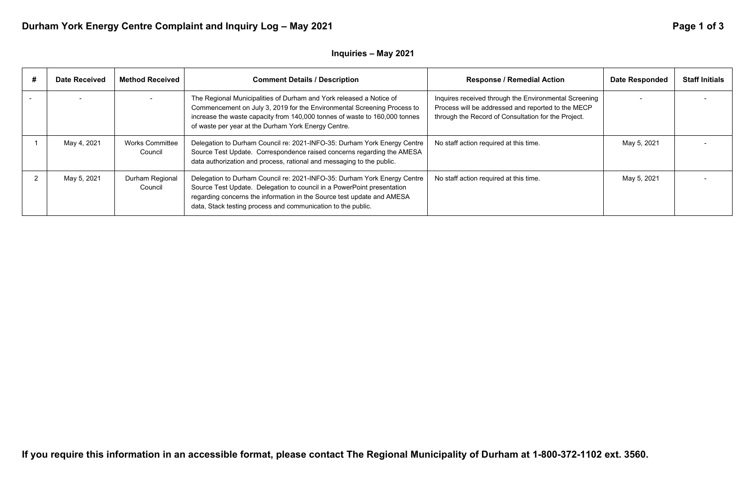# Durham York Energy Centre Complaint and Inquiry Log - May 2021 **Page 1 of 3** Page 1 of 3

## **Inquiries – May 2021**

| <b>Date Received</b> | <b>Method Received</b>            | <b>Comment Details / Description</b>                                                                                                                                                                                                                                                         | <b>Response / Remedial Action</b>                                                                                                                                  | <b>Date Responded</b> | <b>Staff Initials</b> |
|----------------------|-----------------------------------|----------------------------------------------------------------------------------------------------------------------------------------------------------------------------------------------------------------------------------------------------------------------------------------------|--------------------------------------------------------------------------------------------------------------------------------------------------------------------|-----------------------|-----------------------|
|                      |                                   | The Regional Municipalities of Durham and York released a Notice of<br>Commencement on July 3, 2019 for the Environmental Screening Process to<br>increase the waste capacity from 140,000 tonnes of waste to 160,000 tonnes<br>of waste per year at the Durham York Energy Centre.          | Inquires received through the Environmental Screening<br>Process will be addressed and reported to the MECP<br>through the Record of Consultation for the Project. |                       |                       |
| May 4, 2021          | <b>Works Committee</b><br>Council | Delegation to Durham Council re: 2021-INFO-35: Durham York Energy Centre<br>Source Test Update. Correspondence raised concerns regarding the AMESA<br>data authorization and process, rational and messaging to the public.                                                                  | No staff action required at this time.                                                                                                                             | May 5, 2021           |                       |
| May 5, 2021          | Durham Regional<br>Council        | Delegation to Durham Council re: 2021-INFO-35: Durham York Energy Centre<br>Source Test Update. Delegation to council in a PowerPoint presentation<br>regarding concerns the information in the Source test update and AMESA<br>data, Stack testing process and communication to the public. | No staff action required at this time.                                                                                                                             | May 5, 2021           |                       |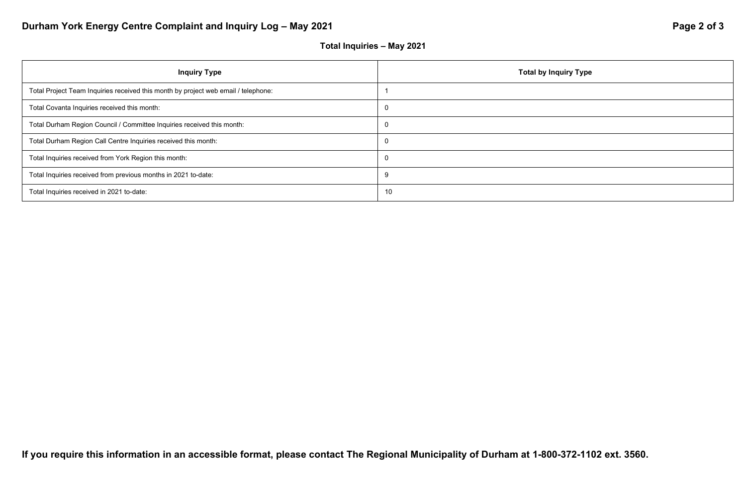# Durham York Energy Centre Complaint and Inquiry Log - May 2021 **Page 2 of 3** Page 2 of 3

## **Total Inquiries – May 2021**



| <b>Inquiry Type</b>                                                                | Total by I     |
|------------------------------------------------------------------------------------|----------------|
| Total Project Team Inquiries received this month by project web email / telephone: |                |
| Total Covanta Inquiries received this month:                                       | $\overline{0}$ |
| Total Durham Region Council / Committee Inquiries received this month:             | 0              |
| Total Durham Region Call Centre Inquiries received this month:                     | $\overline{0}$ |
| Total Inquiries received from York Region this month:                              | 0              |
| Total Inquiries received from previous months in 2021 to-date:                     | 9              |
| Total Inquiries received in 2021 to-date:                                          | 10             |